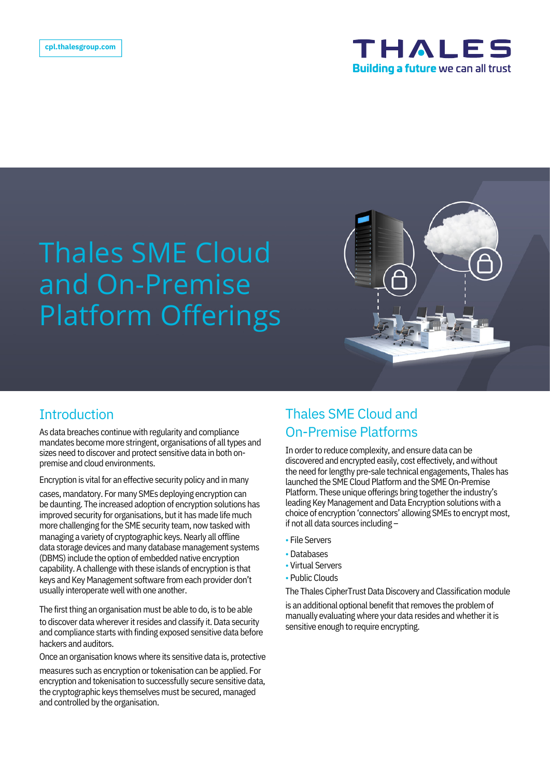

# Thales SME Cloud and On-Premise Platform Offerings



As data breaches continue with regularity and compliance mandates become more stringent, organisations of all types and sizes need to discover and protect sensitive data in both onpremise and cloud environments.

Encryption is vital for an effective security policy and in many

cases, mandatory. For many SMEs deploying encryption can be daunting. The increased adoption of encryption solutions has improved security for organisations, but it has made life much more challenging for the SME security team, now tasked with managing a variety of cryptographic keys. Nearly all offline data storage devices and many database management systems (DBMS) include the option of embedded native encryption capability. A challenge with these islands of encryption is that keys and Key Management software from each provider don't usually interoperate well with one another.

The first thing an organisation must be able to do, is to be able to discover data wherever it resides and classify it. Data security and compliance starts with finding exposed sensitive data before hackers and auditors.

Once an organisation knows where its sensitive data is, protective

measures such as encryption or tokenisation can be applied. For encryption and tokenisation to successfully secure sensitive data, the cryptographic keys themselves must be secured, managed and controlled by the organisation.

### Introduction Thales SME Cloud and On-Premise Platforms

In order to reduce complexity, and ensure data can be discovered and encrypted easily, cost effectively, and without the need for lengthy pre-sale technical engagements, Thales has launched the SME Cloud Platform and the SME On-Premise Platform. These unique offerings bring together the industry's leading Key Management and Data Encryption solutions with a choice of encryption 'connectors' allowing SMEs to encrypt most, if not all data sources including –

- File Servers
- Databases
- Virtual Servers
- Public Clouds

The Thales CipherTrust Data Discovery and Classification module

is an additional optional benefit that removes the problem of manually evaluating where your data resides and whether it is sensitive enough to require encrypting.